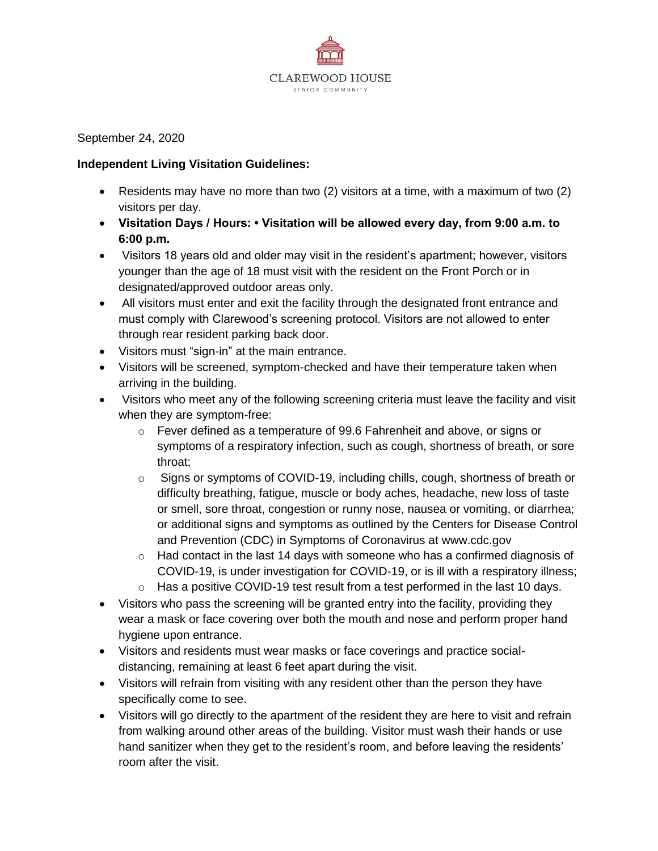

September 24, 2020

## **Independent Living Visitation Guidelines:**

- Residents may have no more than two (2) visitors at a time, with a maximum of two (2) visitors per day.
- **Visitation Days / Hours: Visitation will be allowed every day, from 9:00 a.m. to 6:00 p.m.**
- Visitors 18 years old and older may visit in the resident's apartment; however, visitors younger than the age of 18 must visit with the resident on the Front Porch or in designated/approved outdoor areas only.
- All visitors must enter and exit the facility through the designated front entrance and must comply with Clarewood's screening protocol. Visitors are not allowed to enter through rear resident parking back door.
- Visitors must "sign-in" at the main entrance.
- Visitors will be screened, symptom-checked and have their temperature taken when arriving in the building.
- Visitors who meet any of the following screening criteria must leave the facility and visit when they are symptom-free:
	- $\circ$  Fever defined as a temperature of 99.6 Fahrenheit and above, or signs or symptoms of a respiratory infection, such as cough, shortness of breath, or sore throat;
	- $\circ$  Signs or symptoms of COVID-19, including chills, cough, shortness of breath or difficulty breathing, fatigue, muscle or body aches, headache, new loss of taste or smell, sore throat, congestion or runny nose, nausea or vomiting, or diarrhea; or additional signs and symptoms as outlined by the Centers for Disease Control and Prevention (CDC) in Symptoms of Coronavirus at www.cdc.gov
	- $\circ$  Had contact in the last 14 days with someone who has a confirmed diagnosis of COVID-19, is under investigation for COVID-19, or is ill with a respiratory illness;
	- $\circ$  Has a positive COVID-19 test result from a test performed in the last 10 days.
- Visitors who pass the screening will be granted entry into the facility, providing they wear a mask or face covering over both the mouth and nose and perform proper hand hygiene upon entrance.
- Visitors and residents must wear masks or face coverings and practice socialdistancing, remaining at least 6 feet apart during the visit.
- Visitors will refrain from visiting with any resident other than the person they have specifically come to see.
- Visitors will go directly to the apartment of the resident they are here to visit and refrain from walking around other areas of the building. Visitor must wash their hands or use hand sanitizer when they get to the resident's room, and before leaving the residents' room after the visit.